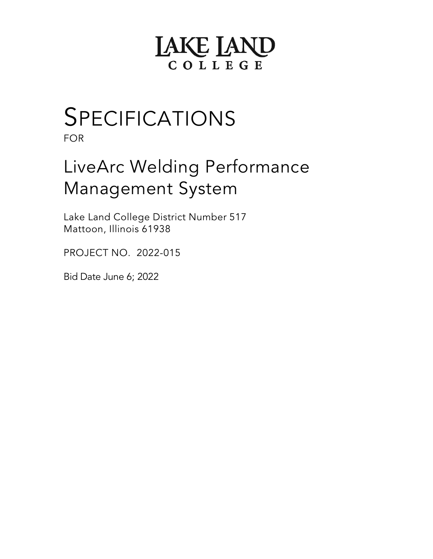# **LAKE LAND** COLLEGE

# SPECIFICATIONS

FOR

# LiveArc Welding Performance Management System

Lake Land College District Number 517 Mattoon, Illinois 61938

PROJECT NO. 2022-015

Bid Date June 6; 2022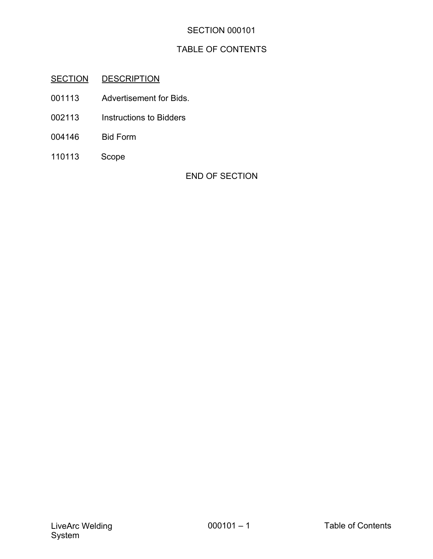# TABLE OF CONTENTS

# SECTION DESCRIPTION

- 001113 Advertisement for Bids.
- 002113 Instructions to Bidders
- 004146 Bid Form
- 110113 Scope

END OF SECTION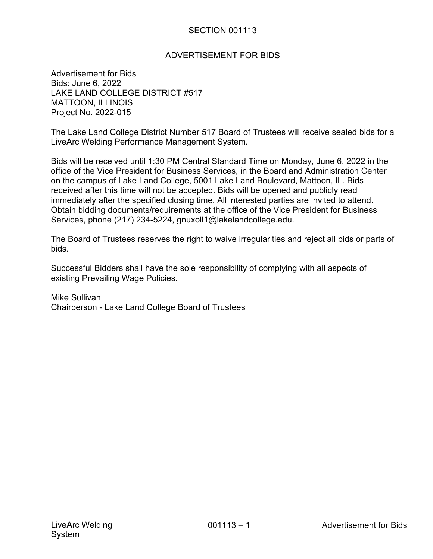## ADVERTISEMENT FOR BIDS

Advertisement for Bids Bids: June 6, 2022 LAKE LAND COLLEGE DISTRICT #517 MATTOON, ILLINOIS Project No. 2022-015

The Lake Land College District Number 517 Board of Trustees will receive sealed bids for a LiveArc Welding Performance Management System.

Bids will be received until 1:30 PM Central Standard Time on Monday, June 6, 2022 in the office of the Vice President for Business Services, in the Board and Administration Center on the campus of Lake Land College, 5001 Lake Land Boulevard, Mattoon, IL. Bids received after this time will not be accepted. Bids will be opened and publicly read immediately after the specified closing time. All interested parties are invited to attend. Obtain bidding documents/requirements at the office of the Vice President for Business Services, phone (217) 234-5224, gnuxoll1@lakelandcollege.edu.

The Board of Trustees reserves the right to waive irregularities and reject all bids or parts of bids.

Successful Bidders shall have the sole responsibility of complying with all aspects of existing Prevailing Wage Policies.

Mike Sullivan Chairperson - Lake Land College Board of Trustees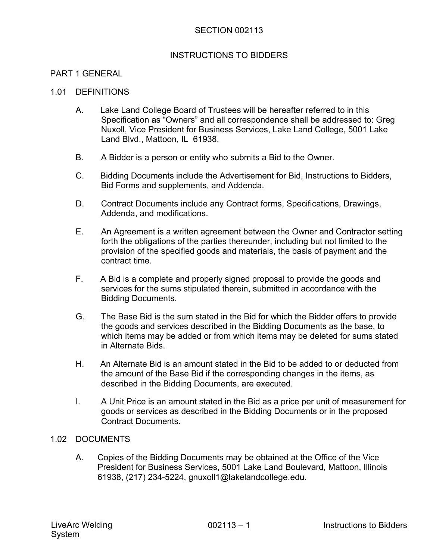#### INSTRUCTIONS TO BIDDERS

#### PART 1 GENERAL

#### 1.01 DEFINITIONS

- A. Lake Land College Board of Trustees will be hereafter referred to in this Specification as "Owners" and all correspondence shall be addressed to: Greg Nuxoll, Vice President for Business Services, Lake Land College, 5001 Lake Land Blvd., Mattoon, IL 61938.
- B. A Bidder is a person or entity who submits a Bid to the Owner.
- C. Bidding Documents include the Advertisement for Bid, Instructions to Bidders, Bid Forms and supplements, and Addenda.
- D. Contract Documents include any Contract forms, Specifications, Drawings, Addenda, and modifications.
- E. An Agreement is a written agreement between the Owner and Contractor setting forth the obligations of the parties thereunder, including but not limited to the provision of the specified goods and materials, the basis of payment and the contract time.
- F. A Bid is a complete and properly signed proposal to provide the goods and services for the sums stipulated therein, submitted in accordance with the Bidding Documents.
- G. The Base Bid is the sum stated in the Bid for which the Bidder offers to provide the goods and services described in the Bidding Documents as the base, to which items may be added or from which items may be deleted for sums stated in Alternate Bids.
- H. An Alternate Bid is an amount stated in the Bid to be added to or deducted from the amount of the Base Bid if the corresponding changes in the items, as described in the Bidding Documents, are executed.
- I. A Unit Price is an amount stated in the Bid as a price per unit of measurement for goods or services as described in the Bidding Documents or in the proposed Contract Documents.

#### 1.02 DOCUMENTS

A. Copies of the Bidding Documents may be obtained at the Office of the Vice President for Business Services, 5001 Lake Land Boulevard, Mattoon, Illinois 61938, (217) 234-5224, gnuxoll1@lakelandcollege.edu.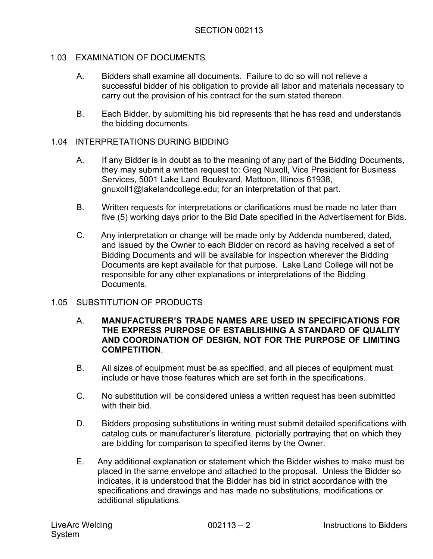# 1.03 EXAMINATION OF DOCUMENTS

- A. Bidders shall examine all documents. Failure to do so will not relieve a successful bidder of his obligation to provide all labor and materials necessary to carry out the provision of his contract for the sum stated thereon.
- B. Each Bidder, by submitting his bid represents that he has read and understands the bidding documents.

#### 1.04 INTERPRETATIONS DURING BIDDING

- A. If any Bidder is in doubt as to the meaning of any part of the Bidding Documents, they may submit a written request to: Greg Nuxoll, Vice President for Business Services, 5001 Lake Land Boulevard, Mattoon, Illinois 61938, gnuxoll1@lakelandcollege.edu; for an interpretation of that part.
- B. Written requests for interpretations or clarifications must be made no later than five (5) working days prior to the Bid Date specified in the Advertisement for Bids.
- C. Any interpretation or change will be made only by Addenda numbered, dated, and issued by the Owner to each Bidder on record as having received a set of Bidding Documents and will be available for inspection wherever the Bidding Documents are kept available for that purpose. Lake Land College will not be responsible for any other explanations or interpretations of the Bidding **Documents**

## 1.05 SUBSTITUTION OF PRODUCTS

- A. **MANUFACTURER'S TRADE NAMES ARE USED IN SPECIFICATIONS FOR THE EXPRESS PURPOSE OF ESTABLISHING A STANDARD OF QUALITY AND COORDINATION OF DESIGN, NOT FOR THE PURPOSE OF LIMITING COMPETITION**.
- B. All sizes of equipment must be as specified, and all pieces of equipment must include or have those features which are set forth in the specifications.
- C. No substitution will be considered unless a written request has been submitted with their bid.
- D. Bidders proposing substitutions in writing must submit detailed specifications with catalog cuts or manufacturer's literature, pictorially portraying that on which they are bidding for comparison to specified items by the Owner.
- E. Any additional explanation or statement which the Bidder wishes to make must be placed in the same envelope and attached to the proposal. Unless the Bidder so indicates, it is understood that the Bidder has bid in strict accordance with the specifications and drawings and has made no substitutions, modifications or additional stipulations.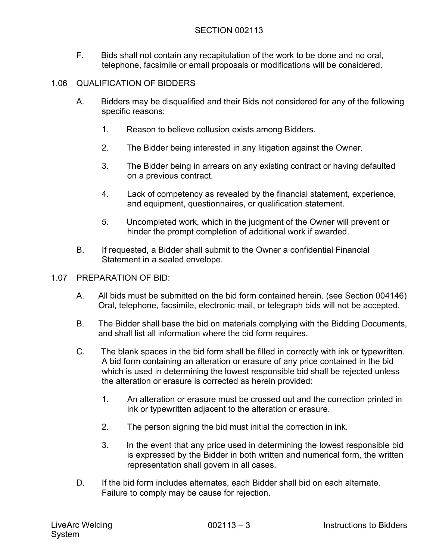F. Bids shall not contain any recapitulation of the work to be done and no oral, telephone, facsimile or email proposals or modifications will be considered.

# 1.06 QUALIFICATION OF BIDDERS

- A. Bidders may be disqualified and their Bids not considered for any of the following specific reasons:
	- 1. Reason to believe collusion exists among Bidders.
	- 2. The Bidder being interested in any litigation against the Owner.
	- 3. The Bidder being in arrears on any existing contract or having defaulted on a previous contract.
	- 4. Lack of competency as revealed by the financial statement, experience, and equipment, questionnaires, or qualification statement.
	- 5. Uncompleted work, which in the judgment of the Owner will prevent or hinder the prompt completion of additional work if awarded.
- B. If requested, a Bidder shall submit to the Owner a confidential Financial Statement in a sealed envelope.
- 1.07 PREPARATION OF BID:
	- A. All bids must be submitted on the bid form contained herein. (see Section 004146) Oral, telephone, facsimile, electronic mail, or telegraph bids will not be accepted.
	- B. The Bidder shall base the bid on materials complying with the Bidding Documents, and shall list all information where the bid form requires.
	- C. The blank spaces in the bid form shall be filled in correctly with ink or typewritten. A bid form containing an alteration or erasure of any price contained in the bid which is used in determining the lowest responsible bid shall be rejected unless the alteration or erasure is corrected as herein provided:
		- 1. An alteration or erasure must be crossed out and the correction printed in ink or typewritten adjacent to the alteration or erasure.
		- 2. The person signing the bid must initial the correction in ink.
		- 3. In the event that any price used in determining the lowest responsible bid is expressed by the Bidder in both written and numerical form, the written representation shall govern in all cases.
	- D. If the bid form includes alternates, each Bidder shall bid on each alternate. Failure to comply may be cause for rejection.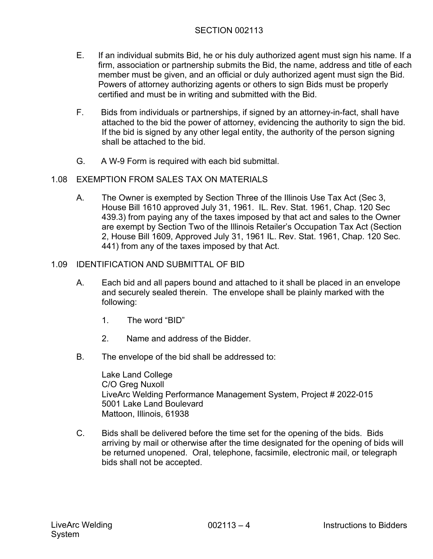- E. If an individual submits Bid, he or his duly authorized agent must sign his name. If a firm, association or partnership submits the Bid, the name, address and title of each member must be given, and an official or duly authorized agent must sign the Bid. Powers of attorney authorizing agents or others to sign Bids must be properly certified and must be in writing and submitted with the Bid.
- F. Bids from individuals or partnerships, if signed by an attorney-in-fact, shall have attached to the bid the power of attorney, evidencing the authority to sign the bid. If the bid is signed by any other legal entity, the authority of the person signing shall be attached to the bid.
- G. A W-9 Form is required with each bid submittal.

# 1.08 EXEMPTION FROM SALES TAX ON MATERIALS

A. The Owner is exempted by Section Three of the Illinois Use Tax Act (Sec 3, House Bill 1610 approved July 31, 1961. IL. Rev. Stat. 1961, Chap. 120 Sec 439.3) from paying any of the taxes imposed by that act and sales to the Owner are exempt by Section Two of the Illinois Retailer's Occupation Tax Act (Section 2, House Bill 1609, Approved July 31, 1961 IL. Rev. Stat. 1961, Chap. 120 Sec. 441) from any of the taxes imposed by that Act.

# 1.09 IDENTIFICATION AND SUBMITTAL OF BID

- A. Each bid and all papers bound and attached to it shall be placed in an envelope and securely sealed therein. The envelope shall be plainly marked with the following:
	- 1. The word "BID"
	- 2. Name and address of the Bidder.
- B. The envelope of the bid shall be addressed to:

Lake Land College C/O Greg Nuxoll LiveArc Welding Performance Management System, Project # 2022-015 5001 Lake Land Boulevard Mattoon, Illinois, 61938

C. Bids shall be delivered before the time set for the opening of the bids. Bids arriving by mail or otherwise after the time designated for the opening of bids will be returned unopened. Oral, telephone, facsimile, electronic mail, or telegraph bids shall not be accepted.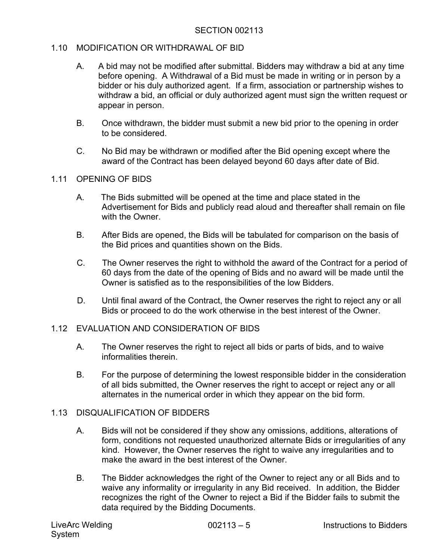# 1.10 MODIFICATION OR WITHDRAWAL OF BID

- A. A bid may not be modified after submittal. Bidders may withdraw a bid at any time before opening. A Withdrawal of a Bid must be made in writing or in person by a bidder or his duly authorized agent. If a firm, association or partnership wishes to withdraw a bid, an official or duly authorized agent must sign the written request or appear in person.
- B. Once withdrawn, the bidder must submit a new bid prior to the opening in order to be considered.
- C. No Bid may be withdrawn or modified after the Bid opening except where the award of the Contract has been delayed beyond 60 days after date of Bid.

# 1.11 OPENING OF BIDS

- A. The Bids submitted will be opened at the time and place stated in the Advertisement for Bids and publicly read aloud and thereafter shall remain on file with the Owner
- B. After Bids are opened, the Bids will be tabulated for comparison on the basis of the Bid prices and quantities shown on the Bids.
- C. The Owner reserves the right to withhold the award of the Contract for a period of 60 days from the date of the opening of Bids and no award will be made until the Owner is satisfied as to the responsibilities of the low Bidders.
- D. Until final award of the Contract, the Owner reserves the right to reject any or all Bids or proceed to do the work otherwise in the best interest of the Owner.

# 1.12 EVALUATION AND CONSIDERATION OF BIDS

- A. The Owner reserves the right to reject all bids or parts of bids, and to waive informalities therein.
- B. For the purpose of determining the lowest responsible bidder in the consideration of all bids submitted, the Owner reserves the right to accept or reject any or all alternates in the numerical order in which they appear on the bid form.

## 1.13 DISQUALIFICATION OF BIDDERS

- A. Bids will not be considered if they show any omissions, additions, alterations of form, conditions not requested unauthorized alternate Bids or irregularities of any kind. However, the Owner reserves the right to waive any irregularities and to make the award in the best interest of the Owner.
- B. The Bidder acknowledges the right of the Owner to reject any or all Bids and to waive any informality or irregularity in any Bid received. In addition, the Bidder recognizes the right of the Owner to reject a Bid if the Bidder fails to submit the data required by the Bidding Documents.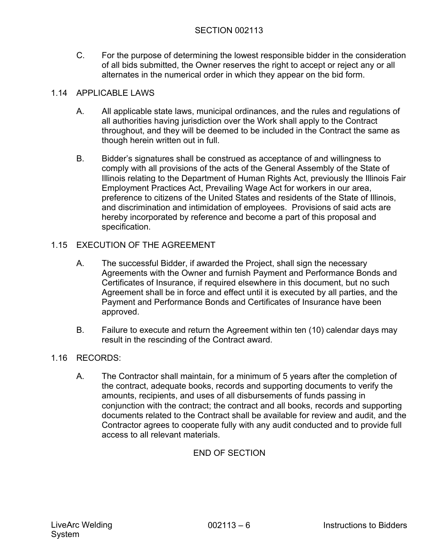C. For the purpose of determining the lowest responsible bidder in the consideration of all bids submitted, the Owner reserves the right to accept or reject any or all alternates in the numerical order in which they appear on the bid form.

# 1.14 APPLICABLE LAWS

- A. All applicable state laws, municipal ordinances, and the rules and regulations of all authorities having jurisdiction over the Work shall apply to the Contract throughout, and they will be deemed to be included in the Contract the same as though herein written out in full.
- B. Bidder's signatures shall be construed as acceptance of and willingness to comply with all provisions of the acts of the General Assembly of the State of Illinois relating to the Department of Human Rights Act, previously the Illinois Fair Employment Practices Act, Prevailing Wage Act for workers in our area, preference to citizens of the United States and residents of the State of Illinois, and discrimination and intimidation of employees. Provisions of said acts are hereby incorporated by reference and become a part of this proposal and specification.

# 1.15 EXECUTION OF THE AGREEMENT

- A. The successful Bidder, if awarded the Project, shall sign the necessary Agreements with the Owner and furnish Payment and Performance Bonds and Certificates of Insurance, if required elsewhere in this document, but no such Agreement shall be in force and effect until it is executed by all parties, and the Payment and Performance Bonds and Certificates of Insurance have been approved.
- B. Failure to execute and return the Agreement within ten (10) calendar days may result in the rescinding of the Contract award.

# 1.16 RECORDS:

A. The Contractor shall maintain, for a minimum of 5 years after the completion of the contract, adequate books, records and supporting documents to verify the amounts, recipients, and uses of all disbursements of funds passing in conjunction with the contract; the contract and all books, records and supporting documents related to the Contract shall be available for review and audit, and the Contractor agrees to cooperate fully with any audit conducted and to provide full access to all relevant materials.

# END OF SECTION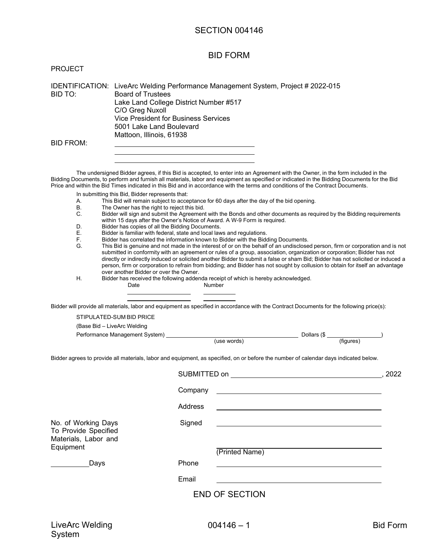#### BID FORM

| <b>PROJECT</b> |
|----------------|
|----------------|

IDENTIFICATION: LiveArc Welding Performance Management System, Project # 2022-015 BID TO: Board of Trustees Lake Land College District Number #517 C/O Greg Nuxoll Vice President for Business Services 5001 Lake Land Boulevard Mattoon, Illinois, 61938 BID FROM:

The undersigned Bidder agrees, if this Bid is accepted, to enter into an Agreement with the Owner, in the form included in the Bidding Documents, to perform and furnish all materials, labor and equipment as specified or indicated in the Bidding Documents for the Bid Price and within the Bid Times indicated in this Bid and in accordance with the terms and conditions of the Contract Documents.

- In submitting this Bid, Bidder represents that:
- A. This Bid will remain subject to acceptance for 60 days after the day of the bid opening.
- The Owner has the right to reject this bid.
- C. Bidder will sign and submit the Agreement with the Bonds and other documents as required by the Bidding requirements within 15 days after the Owner's Notice of Award. A W-9 Form is required.
- D. Bidder has copies of all the Bidding Documents.
- E. Bidder is familiar with federal, state and local laws and regulations.
- F. Bidder has correlated the information known to Bidder with the Bidding Documents.
- This Bid is genuine and not made in the interest of or on the behalf of an undisclosed person, firm or corporation and is not submitted in conformity with an agreement or rules of a group, association, organization or corporation; Bidder has not directly or indirectly induced or solicited another Bidder to submit a false or sham Bid; Bidder has not solicited or induced a person, firm or corporation to refrain from bidding; and Bidder has not sought by collusion to obtain for itself an advantage over another Bidder or over the Owner.
- H. Bidder has received the following addenda receipt of which is hereby acknowledged. Date Number
	-

Bidder will provide all materials, labor and equipment as specified in accordance with the Contract Documents for the following price(s):

STIPULATED-SUM BID PRICE

| Performance Management System) | Nollars (\$ر |           |
|--------------------------------|--------------|-----------|
|                                | (use words)  | (fiqures) |

Bidder agrees to provide all materials, labor and equipment, as specified, on or before the number of calendar days indicated below.

|                                                                                  | SUBMITTED on                                                                                                                    | . 2022 |
|----------------------------------------------------------------------------------|---------------------------------------------------------------------------------------------------------------------------------|--------|
|                                                                                  | Company<br><u> 1980 - Jan Samuel Barbara, margaret e populazion del control del control del control del control de la provi</u> |        |
|                                                                                  | Address                                                                                                                         |        |
| No. of Working Days<br>To Provide Specified<br>Materials, Labor and<br>Equipment | Signed<br>(Printed Name)                                                                                                        |        |
| Days                                                                             | Phone                                                                                                                           |        |
|                                                                                  | Email                                                                                                                           |        |
|                                                                                  | <b>END OF SECTION</b>                                                                                                           |        |
|                                                                                  |                                                                                                                                 |        |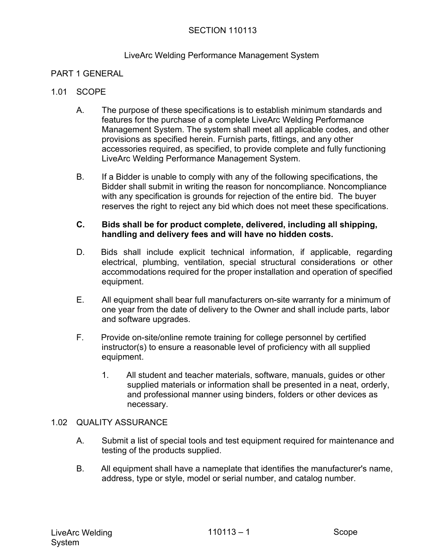#### LiveArc Welding Performance Management System

#### PART 1 GENERAL

#### 1.01 SCOPE

- A. The purpose of these specifications is to establish minimum standards and features for the purchase of a complete LiveArc Welding Performance Management System. The system shall meet all applicable codes, and other provisions as specified herein. Furnish parts, fittings, and any other accessories required, as specified, to provide complete and fully functioning LiveArc Welding Performance Management System.
- B. If a Bidder is unable to comply with any of the following specifications, the Bidder shall submit in writing the reason for noncompliance. Noncompliance with any specification is grounds for rejection of the entire bid. The buyer reserves the right to reject any bid which does not meet these specifications.

#### **C. Bids shall be for product complete, delivered, including all shipping, handling and delivery fees and will have no hidden costs.**

- D. Bids shall include explicit technical information, if applicable, regarding electrical, plumbing, ventilation, special structural considerations or other accommodations required for the proper installation and operation of specified equipment.
- E. All equipment shall bear full manufacturers on-site warranty for a minimum of one year from the date of delivery to the Owner and shall include parts, labor and software upgrades.
- F. Provide on-site/online remote training for college personnel by certified instructor(s) to ensure a reasonable level of proficiency with all supplied equipment.
	- 1. All student and teacher materials, software, manuals, guides or other supplied materials or information shall be presented in a neat, orderly, and professional manner using binders, folders or other devices as necessary.

#### 1.02 QUALITY ASSURANCE

- A. Submit a list of special tools and test equipment required for maintenance and testing of the products supplied.
- B. All equipment shall have a nameplate that identifies the manufacturer's name, address, type or style, model or serial number, and catalog number.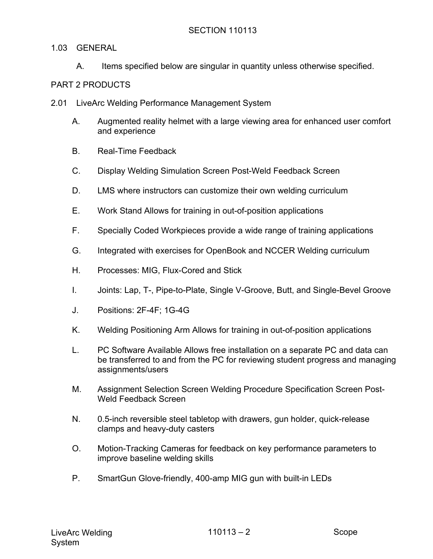## 1.03 GENERAL

A. Items specified below are singular in quantity unless otherwise specified.

# PART 2 PRODUCTS

- 2.01 LiveArc Welding Performance Management System
	- A. Augmented reality helmet with a large viewing area for enhanced user comfort and experience
	- B. Real-Time Feedback
	- C. Display Welding Simulation Screen Post-Weld Feedback Screen
	- D. LMS where instructors can customize their own welding curriculum
	- E. Work Stand Allows for training in out-of-position applications
	- F. Specially Coded Workpieces provide a wide range of training applications
	- G. Integrated with exercises for OpenBook and NCCER Welding curriculum
	- H. Processes: MIG, Flux-Cored and Stick
	- I. Joints: Lap, T-, Pipe-to-Plate, Single V-Groove, Butt, and Single-Bevel Groove
	- J. Positions: 2F-4F; 1G-4G
	- K. Welding Positioning Arm Allows for training in out-of-position applications
	- L. PC Software Available Allows free installation on a separate PC and data can be transferred to and from the PC for reviewing student progress and managing assignments/users
	- M. Assignment Selection Screen Welding Procedure Specification Screen Post-Weld Feedback Screen
	- N. 0.5-inch reversible steel tabletop with drawers, gun holder, quick-release clamps and heavy-duty casters
	- O. Motion-Tracking Cameras for feedback on key performance parameters to improve baseline welding skills
	- P. SmartGun Glove-friendly, 400-amp MIG gun with built-in LEDs